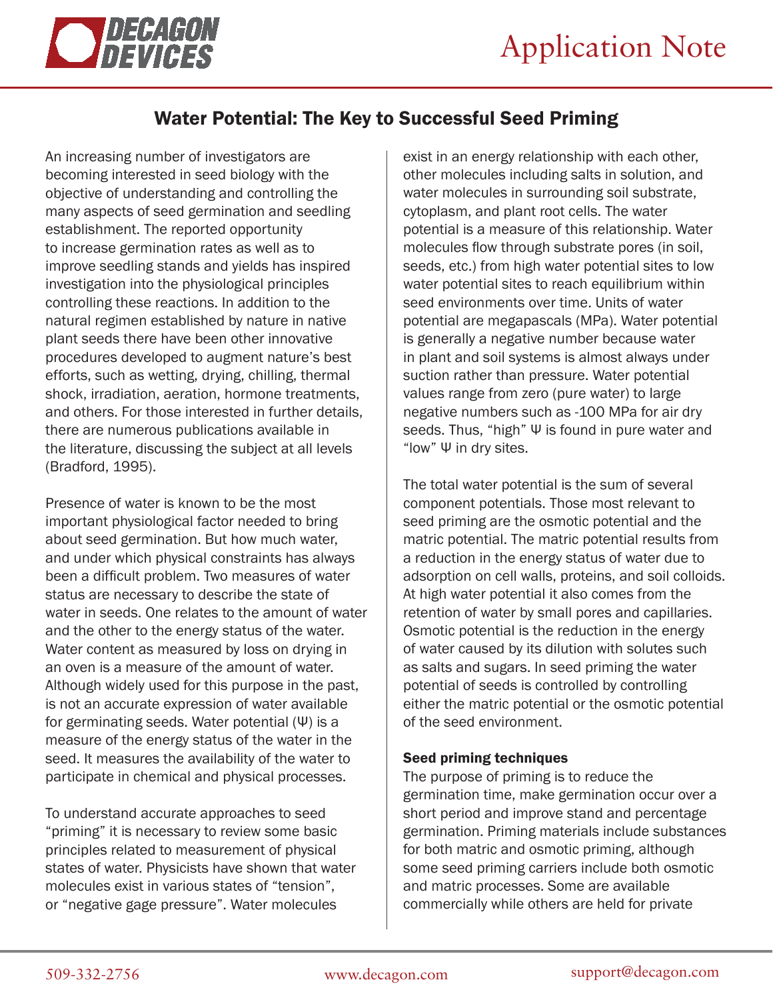

# Water Potential: The Key to Successful Seed Priming

An increasing number of investigators are becoming interested in seed biology with the objective of understanding and controlling the many aspects of seed germination and seedling establishment. The reported opportunity to increase germination rates as well as to improve seedling stands and yields has inspired investigation into the physiological principles controlling these reactions. In addition to the natural regimen established by nature in native plant seeds there have been other innovative procedures developed to augment nature's best efforts, such as wetting, drying, chilling, thermal shock, irradiation, aeration, hormone treatments, and others. For those interested in further details, there are numerous publications available in the literature, discussing the subject at all levels (Bradford, 1995).

Presence of water is known to be the most important physiological factor needed to bring about seed germination. But how much water, and under which physical constraints has always been a difficult problem. Two measures of water status are necessary to describe the state of water in seeds. One relates to the amount of water and the other to the energy status of the water. Water content as measured by loss on drying in an oven is a measure of the amount of water. Although widely used for this purpose in the past, is not an accurate expression of water available for germinating seeds. Water potential (Ψ) is a measure of the energy status of the water in the seed. It measures the availability of the water to participate in chemical and physical processes.

To understand accurate approaches to seed "priming" it is necessary to review some basic principles related to measurement of physical states of water. Physicists have shown that water molecules exist in various states of "tension", or "negative gage pressure". Water molecules

exist in an energy relationship with each other, other molecules including salts in solution, and water molecules in surrounding soil substrate, cytoplasm, and plant root cells. The water potential is a measure of this relationship. Water molecules flow through substrate pores (in soil, seeds, etc.) from high water potential sites to low water potential sites to reach equilibrium within seed environments over time. Units of water potential are megapascals (MPa). Water potential is generally a negative number because water in plant and soil systems is almost always under suction rather than pressure. Water potential values range from zero (pure water) to large negative numbers such as -100 MPa for air dry seeds. Thus, "high" Ψ is found in pure water and "low" Ψ in dry sites.

The total water potential is the sum of several component potentials. Those most relevant to seed priming are the osmotic potential and the matric potential. The matric potential results from a reduction in the energy status of water due to adsorption on cell walls, proteins, and soil colloids. At high water potential it also comes from the retention of water by small pores and capillaries. Osmotic potential is the reduction in the energy of water caused by its dilution with solutes such as salts and sugars. In seed priming the water potential of seeds is controlled by controlling either the matric potential or the osmotic potential of the seed environment.

## Seed priming techniques

The purpose of priming is to reduce the germination time, make germination occur over a short period and improve stand and percentage germination. Priming materials include substances for both matric and osmotic priming, although some seed priming carriers include both osmotic and matric processes. Some are available commercially while others are held for private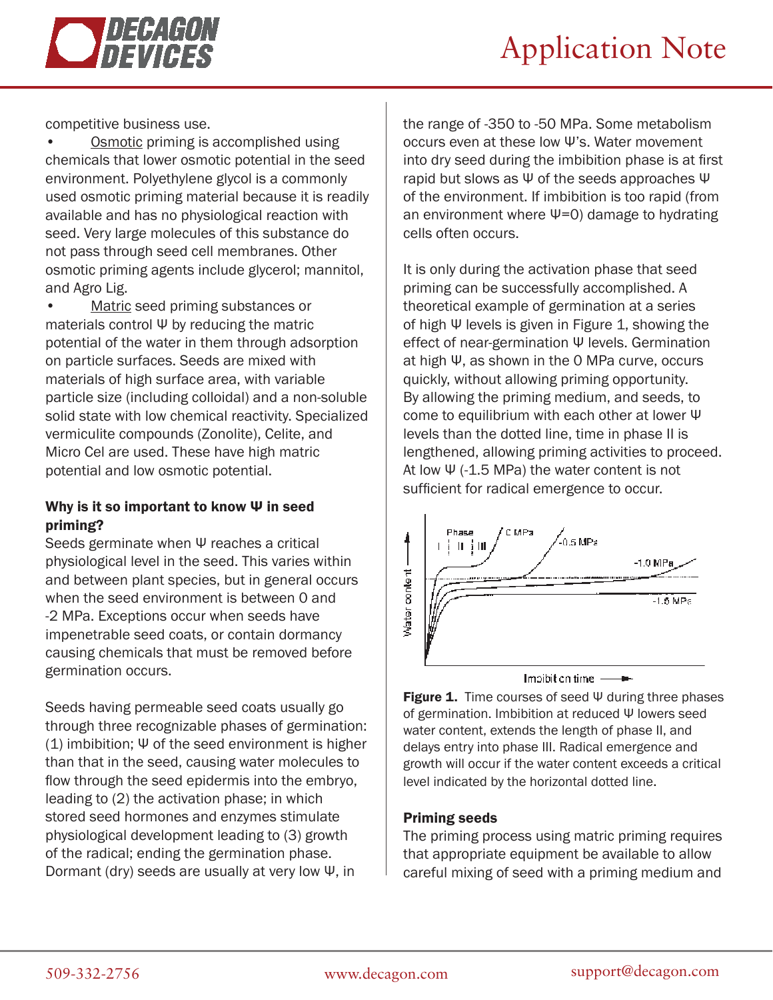



competitive business use.

• Osmotic priming is accomplished using chemicals that lower osmotic potential in the seed environment. Polyethylene glycol is a commonly used osmotic priming material because it is readily available and has no physiological reaction with seed. Very large molecules of this substance do not pass through seed cell membranes. Other osmotic priming agents include glycerol; mannitol, and Agro Lig.

Matric seed priming substances or materials control Ψ by reducing the matric potential of the water in them through adsorption on particle surfaces. Seeds are mixed with materials of high surface area, with variable particle size (including colloidal) and a non-soluble solid state with low chemical reactivity. Specialized vermiculite compounds (Zonolite), Celite, and Micro Cel are used. These have high matric potential and low osmotic potential.

#### Why is it so important to know Ψ in seed priming?

Seeds germinate when Ψ reaches a critical physiological level in the seed. This varies within and between plant species, but in general occurs when the seed environment is between 0 and -2 MPa. Exceptions occur when seeds have impenetrable seed coats, or contain dormancy causing chemicals that must be removed before germination occurs.

Seeds having permeable seed coats usually go through three recognizable phases of germination: (1) imbibition;  $\Psi$  of the seed environment is higher than that in the seed, causing water molecules to flow through the seed epidermis into the embryo, leading to (2) the activation phase; in which stored seed hormones and enzymes stimulate physiological development leading to (3) growth of the radical; ending the germination phase. Dormant (dry) seeds are usually at very low Ψ, in

the range of -350 to -50 MPa. Some metabolism occurs even at these low Ψ's. Water movement into dry seed during the imbibition phase is at first rapid but slows as Ψ of the seeds approaches Ψ of the environment. If imbibition is too rapid (from an environment where Ψ=0) damage to hydrating cells often occurs.

It is only during the activation phase that seed priming can be successfully accomplished. A theoretical example of germination at a series of high Ψ levels is given in Figure 1, showing the effect of near-germination Ψ levels. Germination at high Ψ, as shown in the 0 MPa curve, occurs quickly, without allowing priming opportunity. By allowing the priming medium, and seeds, to come to equilibrium with each other at lower Ψ levels than the dotted line, time in phase II is lengthened, allowing priming activities to proceed. At low  $\Psi$  (-1.5 MPa) the water content is not sufficient for radical emergence to occur.



**Figure 1.** Time courses of seed  $\Psi$  during three phases of germination. Imbibition at reduced Ψ lowers seed water content, extends the length of phase II, and delays entry into phase III. Radical emergence and growth will occur if the water content exceeds a critical level indicated by the horizontal dotted line.

#### Priming seeds

The priming process using matric priming requires that appropriate equipment be available to allow careful mixing of seed with a priming medium and